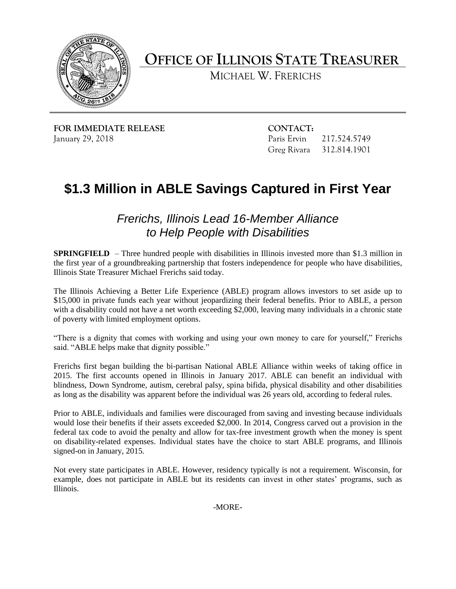

**OFFICE OF ILLINOIS STATE TREASURER** 

MICHAEL W. FRERICHS

**FOR IMMEDIATE RELEASE CONTACT:** January 29, 2018 Paris Ervin 217.524.5749

Greg Rivara 312.814.1901

## **\$1.3 Million in ABLE Savings Captured in First Year**

 *Frerichs, Illinois Lead 16-Member Alliance to Help People with Disabilities* 

 **SPRINGFIELD** – Three hundred people with disabilities in Illinois invested more than \$1.3 million in the first year of a groundbreaking partnership that fosters independence for people who have disabilities, Illinois State Treasurer Michael Frerichs said today.

 The Illinois Achieving a Better Life Experience (ABLE) program allows investors to set aside up to \$15,000 in private funds each year without jeopardizing their federal benefits. Prior to ABLE, a person with a disability could not have a net worth exceeding \$2,000, leaving many individuals in a chronic state of poverty with limited employment options.

 "There is a dignity that comes with working and using your own money to care for yourself," Frerichs said. "ABLE helps make that dignity possible."

 Frerichs first began building the bi-partisan National ABLE Alliance within weeks of taking office in 2015. The first accounts opened in Illinois in January 2017. ABLE can benefit an individual with blindness, Down Syndrome, autism, cerebral palsy, spina bifida, physical disability and other disabilities as long as the disability was apparent before the individual was 26 years old, according to federal rules.

 Prior to ABLE, individuals and families were discouraged from saving and investing because individuals would lose their benefits if their assets exceeded \$2,000. In 2014, Congress carved out a provision in the federal tax code to avoid the penalty and allow for tax-free investment growth when the money is spent on disability-related expenses. Individual states have the choice to start ABLE programs, and Illinois signed-on in January, 2015.

 Not every state participates in ABLE. However, residency typically is not a requirement. Wisconsin, for example, does not participate in ABLE but its residents can invest in other states' programs, such as Illinois.

-MORE-